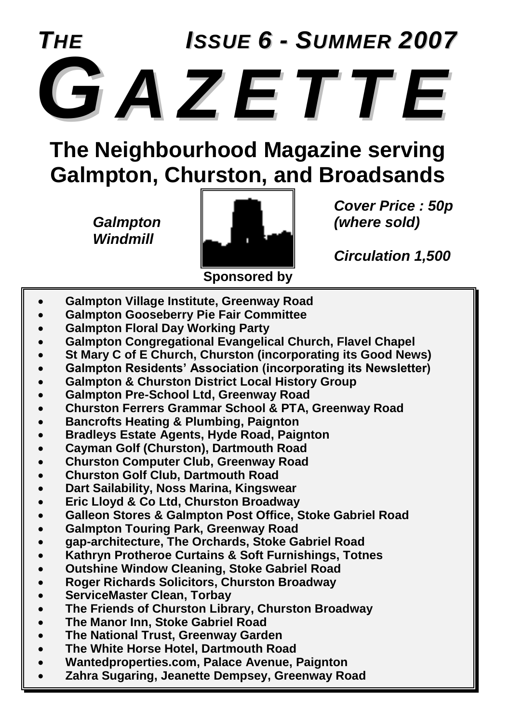

**The Neighbourhood Magazine serving Galmpton, Churston, and Broadsands**

*Windmill*



*Cover Price : 50p*

*Circulation 1,500*

- **Galmpton Village Institute, Greenway Road**
- **Galmpton Gooseberry Pie Fair Committee**
- **Galmpton Floral Day Working Party**
- **Galmpton Congregational Evangelical Church, Flavel Chapel**
- **St Mary C of E Church, Churston (incorporating its Good News)**
- **Galmpton Residents' Association (incorporating its Newsletter)**
- **Galmpton & Churston District Local History Group**
- **Galmpton Pre-School Ltd, Greenway Road**
- **Churston Ferrers Grammar School & PTA, Greenway Road**
- **Bancrofts Heating & Plumbing, Paignton**
- **Bradleys Estate Agents, Hyde Road, Paignton**
- **Cayman Golf (Churston), Dartmouth Road**
- **Churston Computer Club, Greenway Road**
- **Churston Golf Club, Dartmouth Road**
- **Dart Sailability, Noss Marina, Kingswear**
- **Eric Lloyd & Co Ltd, Churston Broadway**
- **Galleon Stores & Galmpton Post Office, Stoke Gabriel Road**
- **Galmpton Touring Park, Greenway Road**
- **gap-architecture, The Orchards, Stoke Gabriel Road**
- **Kathryn Protheroe Curtains & Soft Furnishings, Totnes**
- **Outshine Window Cleaning, Stoke Gabriel Road**
- **Roger Richards Solicitors, Churston Broadway**
- **ServiceMaster Clean, Torbay**
- **The Friends of Churston Library, Churston Broadway**
- **The Manor Inn, Stoke Gabriel Road**
- **The National Trust, Greenway Garden**
- **The White Horse Hotel, Dartmouth Road**
- **Wantedproperties.com, Palace Avenue, Paignton**
- **Zahra Sugaring, Jeanette Dempsey, Greenway Road**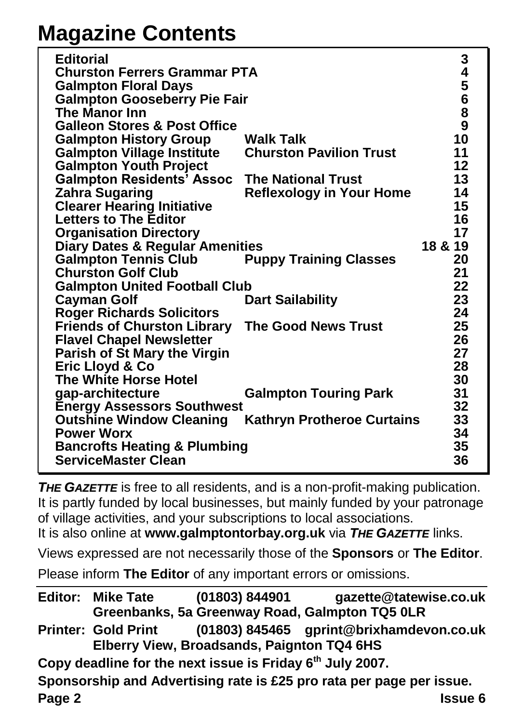## **Magazine Contents**

| <b>Editorial</b>                           |                                   | 345689   |
|--------------------------------------------|-----------------------------------|----------|
| <b>Churston Ferrers Grammar PTA</b>        |                                   |          |
| <b>Galmpton Floral Days</b>                |                                   |          |
| <b>Galmpton Gooseberry Pie Fair</b>        |                                   |          |
| The Manor Inn                              |                                   |          |
| <b>Galleon Stores &amp; Post Office</b>    |                                   |          |
| <b>Galmpton History Group</b>              | Walk Talk                         | 10       |
| <b>Galmpton Village Institute</b>          | <b>Churston Pavilion Trust</b>    | 11       |
| <b>Galmpton Youth Project</b>              |                                   | 12       |
| <b>Galmpton Residents' Assoc</b>           | <b>The National Trust</b>         | 13       |
| <b>Zahra Sugaring</b>                      | <b>Reflexology in Your Home</b>   | 14       |
| <b>Clearer Hearing Initiative</b>          |                                   | 15       |
| <b>Letters to The Editor</b>               |                                   | 16       |
| <b>Organisation Directory</b>              |                                   | 17       |
| <b>Diary Dates &amp; Regular Amenities</b> |                                   | 18 & 19  |
| <b>Galmpton Tennis Club</b>                | <b>Puppy Training Classes</b>     | 20       |
| <b>Churston Golf Club</b>                  |                                   | 21       |
| <b>Galmpton United Football Club</b>       |                                   | 22       |
| <b>Cayman Golf</b>                         | <b>Dart Sailability</b>           | 23       |
| <b>Roger Richards Solicitors</b>           |                                   | 24       |
| <b>Friends of Churston Library</b>         | <b>The Good News Trust</b>        | 25       |
| <b>Flavel Chapel Newsletter</b>            |                                   | 26       |
| <b>Parish of St Mary the Virgin</b>        |                                   | 27       |
| Eric Lloyd & Co                            |                                   | 28       |
| The White Horse Hotel                      |                                   | 30       |
| gap-architecture                           | <b>Galmpton Touring Park</b>      | 31       |
| <b>Energy Assessors Southwest</b>          |                                   | 32       |
| <b>Outshine Window Cleaning</b>            | <b>Kathryn Protheroe Curtains</b> | 33       |
| <b>Power Worx</b>                          |                                   | 34       |
| <b>Bancrofts Heating &amp; Plumbing</b>    |                                   |          |
| <b>ServiceMaster Clean</b>                 |                                   | 35<br>36 |
|                                            |                                   |          |

*THE GAZETTE* is free to all residents, and is a non-profit-making publication. It is partly funded by local businesses, but mainly funded by your patronage of village activities, and your subscriptions to local associations.

It is also online at **www.galmptontorbay.org.uk** via *THE GAZETTE* links.

Views expressed are not necessarily those of the **Sponsors** or **The Editor**.

Please inform **The Editor** of any important errors or omissions.

**Page 2 Issue 6 Editor: Mike Tate (01803) 844901 gazette@tatewise.co.uk Greenbanks, 5a Greenway Road, Galmpton TQ5 0LR Printer: Gold Print (01803) 845465 gprint@brixhamdevon.co.uk Elberry View, Broadsands, Paignton TQ4 6HS Copy deadline for the next issue is Friday 6th July 2007. Sponsorship and Advertising rate is £25 pro rata per page per issue.**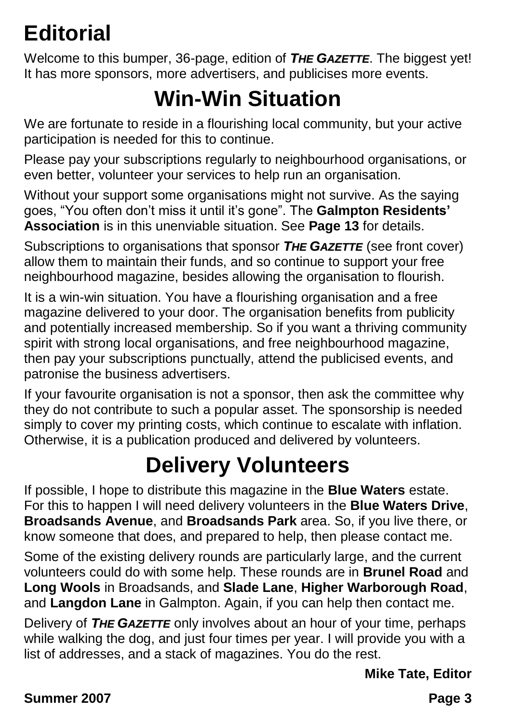## **Editorial**

Welcome to this bumper, 36-page, edition of *THE GAZETTE*. The biggest yet! It has more sponsors, more advertisers, and publicises more events.

## **Win-Win Situation**

We are fortunate to reside in a flourishing local community, but your active participation is needed for this to continue.

Please pay your subscriptions regularly to neighbourhood organisations, or even better, volunteer your services to help run an organisation.

Without your support some organisations might not survive. As the saying goes, "You often don't miss it until it's gone". The **Galmpton Residents' Association** is in this unenviable situation. See **Page 13** for details.

Subscriptions to organisations that sponsor *THE GAZETTE* (see front cover) allow them to maintain their funds, and so continue to support your free neighbourhood magazine, besides allowing the organisation to flourish.

It is a win-win situation. You have a flourishing organisation and a free magazine delivered to your door. The organisation benefits from publicity and potentially increased membership. So if you want a thriving community spirit with strong local organisations, and free neighbourhood magazine, then pay your subscriptions punctually, attend the publicised events, and patronise the business advertisers.

If your favourite organisation is not a sponsor, then ask the committee why they do not contribute to such a popular asset. The sponsorship is needed simply to cover my printing costs, which continue to escalate with inflation. Otherwise, it is a publication produced and delivered by volunteers.

## **Delivery Volunteers**

If possible, I hope to distribute this magazine in the **Blue Waters** estate. For this to happen I will need delivery volunteers in the **Blue Waters Drive**, **Broadsands Avenue**, and **Broadsands Park** area. So, if you live there, or know someone that does, and prepared to help, then please contact me.

Some of the existing delivery rounds are particularly large, and the current volunteers could do with some help. These rounds are in **Brunel Road** and **Long Wools** in Broadsands, and **Slade Lane**, **Higher Warborough Road**, and **Langdon Lane** in Galmpton. Again, if you can help then contact me.

Delivery of *THE GAZETTE* only involves about an hour of your time, perhaps while walking the dog, and just four times per year. I will provide you with a list of addresses, and a stack of magazines. You do the rest.

**Mike Tate, Editor**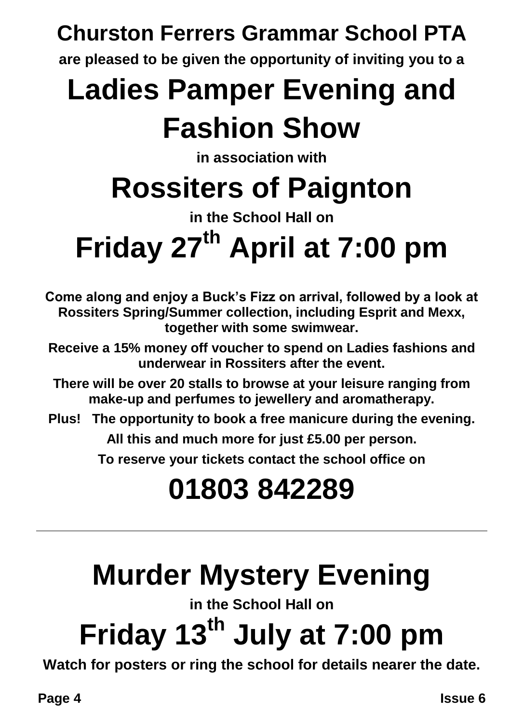## **Churston Ferrers Grammar School PTA**

**are pleased to be given the opportunity of inviting you to a**

## **Ladies Pamper Evening and Fashion Show**

**in association with**

## **Rossiters of Paignton**

**in the School Hall on**

# **Friday 27th April at 7:00 pm**

**Come along and enjoy a Buck's Fizz on arrival, followed by a look at Rossiters Spring/Summer collection, including Esprit and Mexx, together with some swimwear.**

**Receive a 15% money off voucher to spend on Ladies fashions and underwear in Rossiters after the event.**

**There will be over 20 stalls to browse at your leisure ranging from make-up and perfumes to jewellery and aromatherapy.**

**Plus! The opportunity to book a free manicure during the evening.**

**All this and much more for just £5.00 per person.**

**To reserve your tickets contact the school office on**

## **01803 842289**

## **Murder Mystery Evening**

**in the School Hall on**

# **Friday 13th July at 7:00 pm**

**Watch for posters or ring the school for details nearer the date.**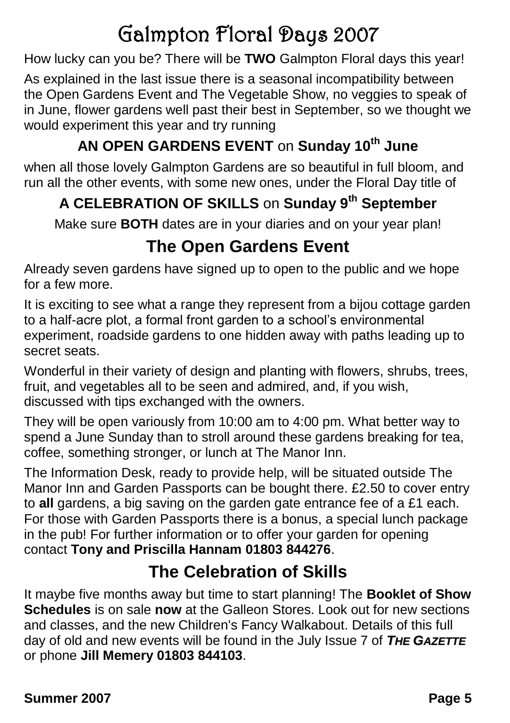## Galmpton Floral Days 2007

How lucky can you be? There will be **TWO** Galmpton Floral days this year!

As explained in the last issue there is a seasonal incompatibility between the Open Gardens Event and The Vegetable Show, no veggies to speak of in June, flower gardens well past their best in September, so we thought we would experiment this year and try running

#### **AN OPEN GARDENS EVENT** on **Sunday 10th June**

when all those lovely Galmpton Gardens are so beautiful in full bloom, and run all the other events, with some new ones, under the Floral Day title of

#### **A CELEBRATION OF SKILLS** on **Sunday 9th September**

Make sure **BOTH** dates are in your diaries and on your year plan!

#### **The Open Gardens Event**

Already seven gardens have signed up to open to the public and we hope for a few more.

It is exciting to see what a range they represent from a bijou cottage garden to a half-acre plot, a formal front garden to a school's environmental experiment, roadside gardens to one hidden away with paths leading up to secret seats.

Wonderful in their variety of design and planting with flowers, shrubs, trees, fruit, and vegetables all to be seen and admired, and, if you wish, discussed with tips exchanged with the owners.

They will be open variously from 10:00 am to 4:00 pm. What better way to spend a June Sunday than to stroll around these gardens breaking for tea, coffee, something stronger, or lunch at The Manor Inn.

The Information Desk, ready to provide help, will be situated outside The Manor Inn and Garden Passports can be bought there. £2.50 to cover entry to **all** gardens, a big saving on the garden gate entrance fee of a £1 each. For those with Garden Passports there is a bonus, a special lunch package in the pub! For further information or to offer your garden for opening contact **Tony and Priscilla Hannam 01803 844276**.

#### **The Celebration of Skills**

It maybe five months away but time to start planning! The **Booklet of Show Schedules** is on sale **now** at the Galleon Stores. Look out for new sections and classes, and the new Children's Fancy Walkabout. Details of this full day of old and new events will be found in the July Issue 7 of *THE GAZETTE* or phone **Jill Memery 01803 844103**.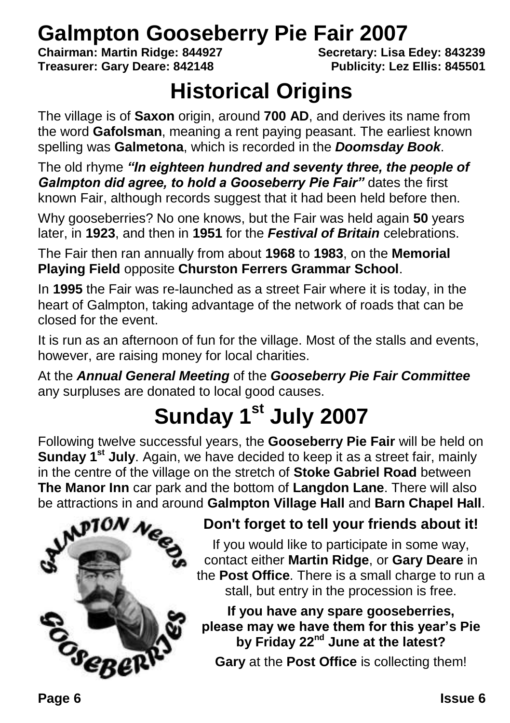## **Galmpton Gooseberry Pie Fair 2007**<br>Chairman: Martin Ridge: 844927<br>Secretary: Lisa Edev: 843239

**Chairman: Martin Ridge: 844927 Treasurer: Gary Deare: 842148 Publicity: Lez Ellis: 845501**

### **Historical Origins**

The village is of **Saxon** origin, around **700 AD**, and derives its name from the word **Gafolsman**, meaning a rent paying peasant. The earliest known spelling was **Galmetona**, which is recorded in the *Doomsday Book*.

The old rhyme *"In eighteen hundred and seventy three, the people of Galmpton did agree, to hold a Gooseberry Pie Fair"* dates the first known Fair, although records suggest that it had been held before then.

Why gooseberries? No one knows, but the Fair was held again **50** years later, in **1923**, and then in **1951** for the *Festival of Britain* celebrations.

The Fair then ran annually from about **1968** to **1983**, on the **Memorial Playing Field** opposite **Churston Ferrers Grammar School**.

In **1995** the Fair was re-launched as a street Fair where it is today, in the heart of Galmpton, taking advantage of the network of roads that can be closed for the event.

It is run as an afternoon of fun for the village. Most of the stalls and events, however, are raising money for local charities.

At the *Annual General Meeting* of the *Gooseberry Pie Fair Committee* any surpluses are donated to local good causes.

## **Sunday 1st July 2007**

Following twelve successful years, the **Gooseberry Pie Fair** will be held on **Sunday 1st July**. Again, we have decided to keep it as a street fair, mainly in the centre of the village on the stretch of **Stoke Gabriel Road** between **The Manor Inn** car park and the bottom of **Langdon Lane**. There will also be attractions in and around **Galmpton Village Hall** and **Barn Chapel Hall**.



#### **Don't forget to tell your friends about it!**

If you would like to participate in some way, contact either **Martin Ridge**, or **Gary Deare** in the **Post Office**. There is a small charge to run a stall, but entry in the procession is free.

**If you have any spare gooseberries, please may we have them for this year's Pie by Friday 22nd June at the latest?**

**Gary** at the **Post Office** is collecting them!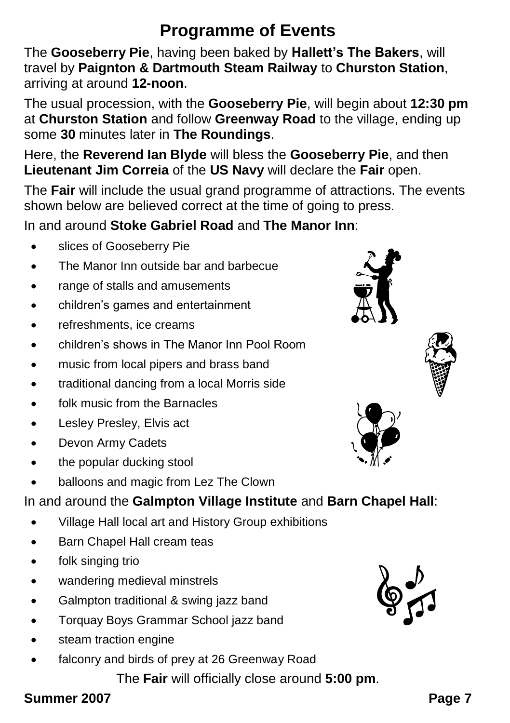#### **Programme of Events**

The **Gooseberry Pie**, having been baked by **Hallett's The Bakers**, will travel by **Paignton & Dartmouth Steam Railway** to **Churston Station**, arriving at around **12-noon**.

The usual procession, with the **Gooseberry Pie**, will begin about **12:30 pm** at **Churston Station** and follow **Greenway Road** to the village, ending up some **30** minutes later in **The Roundings**.

Here, the **Reverend Ian Blyde** will bless the **Gooseberry Pie**, and then **Lieutenant Jim Correia** of the **US Navy** will declare the **Fair** open.

The **Fair** will include the usual grand programme of attractions. The events shown below are believed correct at the time of going to press.

In and around **Stoke Gabriel Road** and **The Manor Inn**:

- slices of Gooseberry Pie
- The Manor Inn outside bar and barbecue
- range of stalls and amusements
- children's games and entertainment
- refreshments, ice creams
- children's shows in The Manor Inn Pool Room
- music from local pipers and brass band
- traditional dancing from a local Morris side
- folk music from the Barnacles
- Lesley Presley, Elvis act
- Devon Army Cadets
- the popular ducking stool
- balloons and magic from Lez The Clown

In and around the **Galmpton Village Institute** and **Barn Chapel Hall**:

- Village Hall local art and History Group exhibitions
- Barn Chapel Hall cream teas
- folk singing trio
- wandering medieval minstrels
- Galmpton traditional & swing jazz band
- Torquay Boys Grammar School jazz band
- steam traction engine
- falconry and birds of prey at 26 Greenway Road

The **Fair** will officially close around **5:00 pm**.







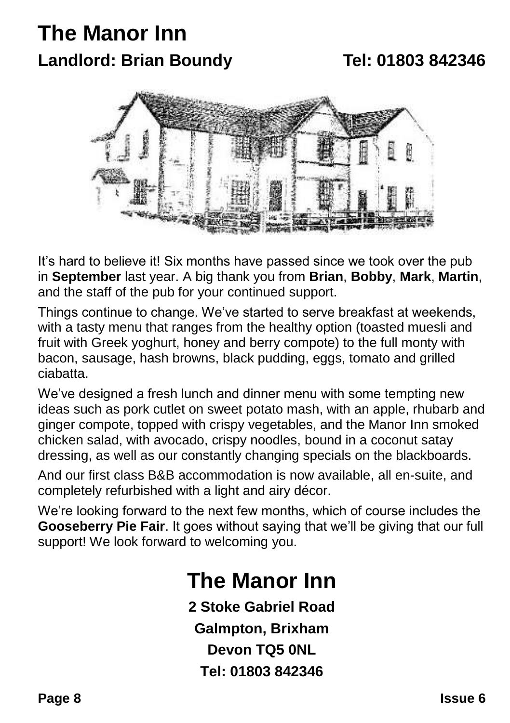### **The Manor Inn Landlord: Brian Boundy Tel: 01803 842346**



It's hard to believe it! Six months have passed since we took over the pub in **September** last year. A big thank you from **Brian**, **Bobby**, **Mark**, **Martin**, and the staff of the pub for your continued support.

Things continue to change. We've started to serve breakfast at weekends, with a tasty menu that ranges from the healthy option (toasted muesli and fruit with Greek yoghurt, honey and berry compote) to the full monty with bacon, sausage, hash browns, black pudding, eggs, tomato and grilled ciabatta.

We've designed a fresh lunch and dinner menu with some tempting new ideas such as pork cutlet on sweet potato mash, with an apple, rhubarb and ginger compote, topped with crispy vegetables, and the Manor Inn smoked chicken salad, with avocado, crispy noodles, bound in a coconut satay dressing, as well as our constantly changing specials on the blackboards.

And our first class B&B accommodation is now available, all en-suite, and completely refurbished with a light and airy décor.

We're looking forward to the next few months, which of course includes the **Gooseberry Pie Fair**. It goes without saying that we'll be giving that our full support! We look forward to welcoming you.

### **The Manor Inn**

**2 Stoke Gabriel Road Galmpton, Brixham Devon TQ5 0NL Tel: 01803 842346**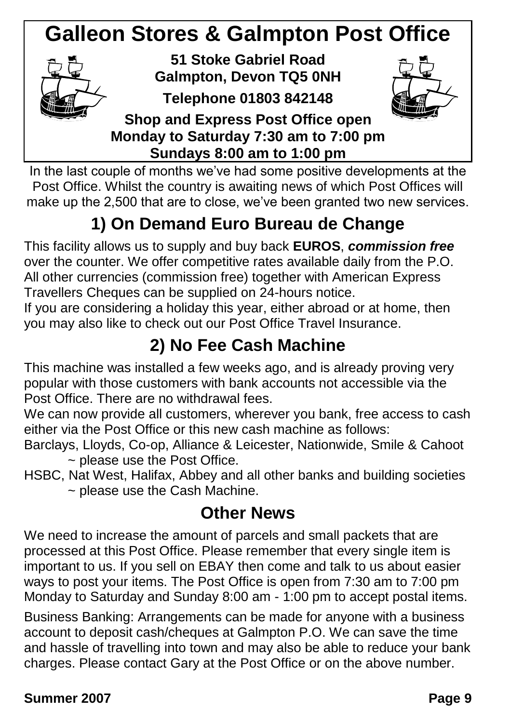## **Galleon Stores & Galmpton Post Office**



**51 Stoke Gabriel Road Galmpton, Devon TQ5 0NH**

**Telephone 01803 842148**



**Shop and Express Post Office open Monday to Saturday 7:30 am to 7:00 pm Sundays 8:00 am to 1:00 pm**

In the last couple of months we've had some positive developments at the Post Office. Whilst the country is awaiting news of which Post Offices will make up the 2,500 that are to close, we've been granted two new services.

### **1) On Demand Euro Bureau de Change**

This facility allows us to supply and buy back **EUROS**, *commission free* over the counter. We offer competitive rates available daily from the P.O. All other currencies (commission free) together with American Express Travellers Cheques can be supplied on 24-hours notice.

If you are considering a holiday this year, either abroad or at home, then you may also like to check out our Post Office Travel Insurance.

#### **2) No Fee Cash Machine**

This machine was installed a few weeks ago, and is already proving very popular with those customers with bank accounts not accessible via the Post Office. There are no withdrawal fees.

We can now provide all customers, wherever you bank, free access to cash either via the Post Office or this new cash machine as follows:

- Barclays, Lloyds, Co-op, Alliance & Leicester, Nationwide, Smile & Cahoot ~ please use the Post Office.
- HSBC, Nat West, Halifax, Abbey and all other banks and building societies ~ please use the Cash Machine.

#### **Other News**

We need to increase the amount of parcels and small packets that are processed at this Post Office. Please remember that every single item is important to us. If you sell on EBAY then come and talk to us about easier ways to post your items. The Post Office is open from 7:30 am to 7:00 pm Monday to Saturday and Sunday 8:00 am - 1:00 pm to accept postal items.

Business Banking: Arrangements can be made for anyone with a business account to deposit cash/cheques at Galmpton P.O. We can save the time and hassle of travelling into town and may also be able to reduce your bank charges. Please contact Gary at the Post Office or on the above number.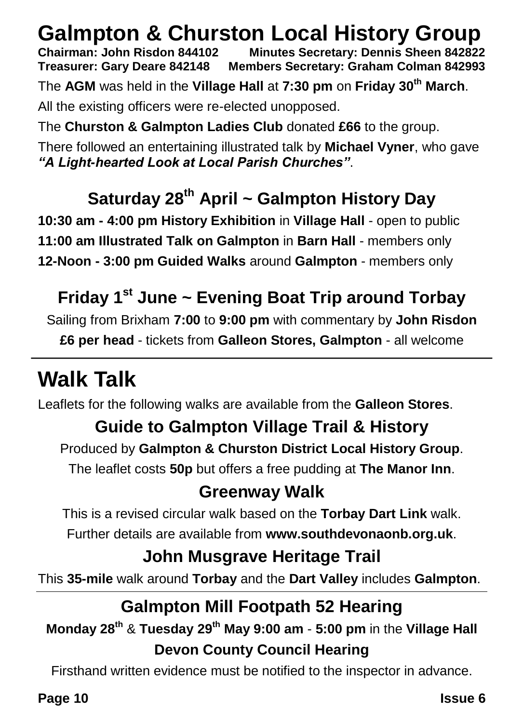## **Galmpton & Churston Local History Group**<br>Chairman: John Risdon 844102 Minutes Secretary: Dennis Sheen 842822

**Chairman: John Risdon 844102 Minutes Secretary: Dennis Sheen 842822 Treasurer: Gary Deare 842148 Members Secretary: Graham Colman 842993** The **AGM** was held in the **Village Hall** at **7:30 pm** on **Friday 30th March**. All the existing officers were re-elected unopposed.

The **Churston & Galmpton Ladies Club** donated **£66** to the group.

There followed an entertaining illustrated talk by **Michael Vyner**, who gave *"A Light-hearted Look at Local Parish Churches"*.

#### **Saturday 28th April ~ Galmpton History Day**

**10:30 am - 4:00 pm History Exhibition** in **Village Hall** - open to public **11:00 am Illustrated Talk on Galmpton** in **Barn Hall** - members only **12-Noon - 3:00 pm Guided Walks** around **Galmpton** - members only

#### **Friday 1st June ~ Evening Boat Trip around Torbay**

Sailing from Brixham **7:00** to **9:00 pm** with commentary by **John Risdon £6 per head** - tickets from **Galleon Stores, Galmpton** - all welcome

## **Walk Talk**

Leaflets for the following walks are available from the **Galleon Stores**.

#### **Guide to Galmpton Village Trail & History**

Produced by **Galmpton & Churston District Local History Group**.

The leaflet costs **50p** but offers a free pudding at **The Manor Inn**.

#### **Greenway Walk**

This is a revised circular walk based on the **Torbay Dart Link** walk.

Further details are available from **www.southdevonaonb.org.uk**.

#### **John Musgrave Heritage Trail**

This **35-mile** walk around **Torbay** and the **Dart Valley** includes **Galmpton**.

#### **Galmpton Mill Footpath 52 Hearing**

**Monday 28th** & **Tuesday 29th May 9:00 am** - **5:00 pm** in the **Village Hall Devon County Council Hearing**

Firsthand written evidence must be notified to the inspector in advance.

**Page 10 Issue 6**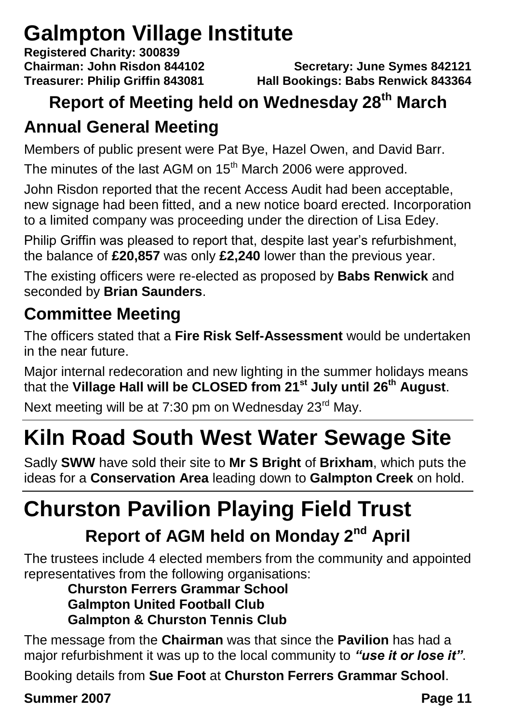## **Galmpton Village Institute**

**Registered Charity: 300839**

#### **Chairman: John Risdon 844102 Secretary: June Symes 842121 Treasurer: Philip Griffin 843081 Hall Bookings: Babs Renwick 843364**

### **Report of Meeting held on Wednesday 28th March**

### **Annual General Meeting**

Members of public present were Pat Bye, Hazel Owen, and David Barr.

The minutes of the last AGM on  $15<sup>th</sup>$  March 2006 were approved.

John Risdon reported that the recent Access Audit had been acceptable, new signage had been fitted, and a new notice board erected. Incorporation to a limited company was proceeding under the direction of Lisa Edey.

Philip Griffin was pleased to report that, despite last year's refurbishment, the balance of **£20,857** was only **£2,240** lower than the previous year.

The existing officers were re-elected as proposed by **Babs Renwick** and seconded by **Brian Saunders**.

### **Committee Meeting**

The officers stated that a **Fire Risk Self-Assessment** would be undertaken in the near future.

Major internal redecoration and new lighting in the summer holidays means that the **Village Hall will be CLOSED from 21st July until 26th August**.

Next meeting will be at 7:30 pm on Wednesday 23<sup>rd</sup> May.

## **Kiln Road South West Water Sewage Site**

Sadly **SWW** have sold their site to **Mr S Bright** of **Brixham**, which puts the ideas for a **Conservation Area** leading down to **Galmpton Creek** on hold.

## **Churston Pavilion Playing Field Trust**

### **Report of AGM held on Monday 2nd April**

The trustees include 4 elected members from the community and appointed representatives from the following organisations:

#### **Churston Ferrers Grammar School Galmpton United Football Club Galmpton & Churston Tennis Club**

The message from the **Chairman** was that since the **Pavilion** has had a major refurbishment it was up to the local community to *"use it or lose it"*.

Booking details from **Sue Foot** at **Churston Ferrers Grammar School**.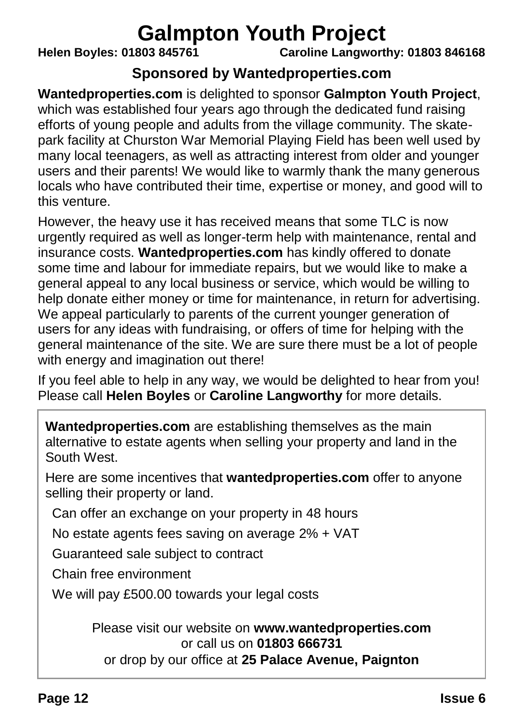## **Galmpton Youth Project**<br>Caroline Langwort Caroline Langwort

**Helen Boyles: 01803 845761 Caroline Langworthy: 01803 846168**

#### **Sponsored by Wantedproperties.com**

**Wantedproperties.com** is delighted to sponsor **Galmpton Youth Project**, which was established four years ago through the dedicated fund raising efforts of young people and adults from the village community. The skatepark facility at Churston War Memorial Playing Field has been well used by many local teenagers, as well as attracting interest from older and younger users and their parents! We would like to warmly thank the many generous locals who have contributed their time, expertise or money, and good will to this venture.

However, the heavy use it has received means that some TLC is now urgently required as well as longer-term help with maintenance, rental and insurance costs. **Wantedproperties.com** has kindly offered to donate some time and labour for immediate repairs, but we would like to make a general appeal to any local business or service, which would be willing to help donate either money or time for maintenance, in return for advertising. We appeal particularly to parents of the current younger generation of users for any ideas with fundraising, or offers of time for helping with the general maintenance of the site. We are sure there must be a lot of people with energy and imagination out there!

If you feel able to help in any way, we would be delighted to hear from you! Please call **Helen Boyles** or **Caroline Langworthy** for more details.

**Wantedproperties.com** are establishing themselves as the main alternative to estate agents when selling your property and land in the South West.

Here are some incentives that **wantedproperties.com** offer to anyone selling their property or land.

Can offer an exchange on your property in 48 hours

No estate agents fees saving on average 2% + VAT

Guaranteed sale subject to contract

Chain free environment

We will pay £500.00 towards your legal costs

Please visit our website on **www.wantedproperties.com** or call us on **01803 666731** or drop by our office at **25 Palace Avenue, Paignton**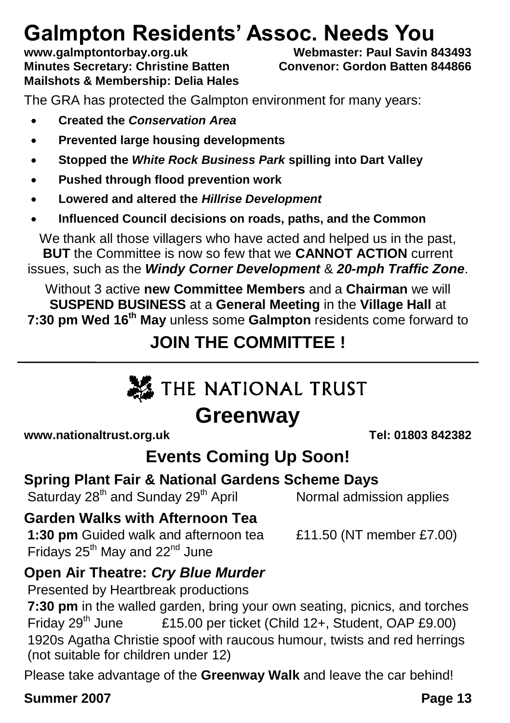## **Galmpton Residents' Assoc. Needs You**<br>www.galmptontorbay.org.uk Webmaster: Paul Savin 843493

www.galmptontorbay.org.uk **Minutes Secretary: Christine Batten Convenor: Gordon Batten 844866 Mailshots & Membership: Delia Hales**

The GRA has protected the Galmpton environment for many years:

- **Created the** *Conservation Area*
- **Prevented large housing developments**
- **Stopped the** *White Rock Business Park* **spilling into Dart Valley**
- **Pushed through flood prevention work**
- **Lowered and altered the** *Hillrise Development*
- **Influenced Council decisions on roads, paths, and the Common**

We thank all those villagers who have acted and helped us in the past, **BUT** the Committee is now so few that we **CANNOT ACTION** current issues, such as the *Windy Corner Development* & *20-mph Traffic Zone*.

Without 3 active **new Committee Members** and a **Chairman** we will **SUSPEND BUSINESS** at a **General Meeting** in the **Village Hall** at **7:30 pm Wed 16th May** unless some **Galmpton** residents come forward to

#### **JOIN THE COMMITTEE !**

## **SEATHE NATIONAL TRUST**

### **Greenway**

**www.nationaltrust.org.uk Tel: 01803 842382**

#### **Events Coming Up Soon!**

#### **Spring Plant Fair & National Gardens Scheme Days**

Saturday 28<sup>th</sup> and Sunday 29<sup>th</sup> April Normal admission applies

#### **Garden Walks with Afternoon Tea**

**1:30 pm** Guided walk and afternoon tea £11.50 (NT member £7.00) Fridays  $25<sup>th</sup>$  May and  $22<sup>nd</sup>$  June

#### **Open Air Theatre:** *Cry Blue Murder*

Presented by Heartbreak productions

**7:30 pm** in the walled garden, bring your own seating, picnics, and torches Friday 29<sup>th</sup> June £15.00 per ticket (Child 12+, Student, OAP £9.00) 1920s Agatha Christie spoof with raucous humour, twists and red herrings (not suitable for children under 12)

Please take advantage of the **Greenway Walk** and leave the car behind!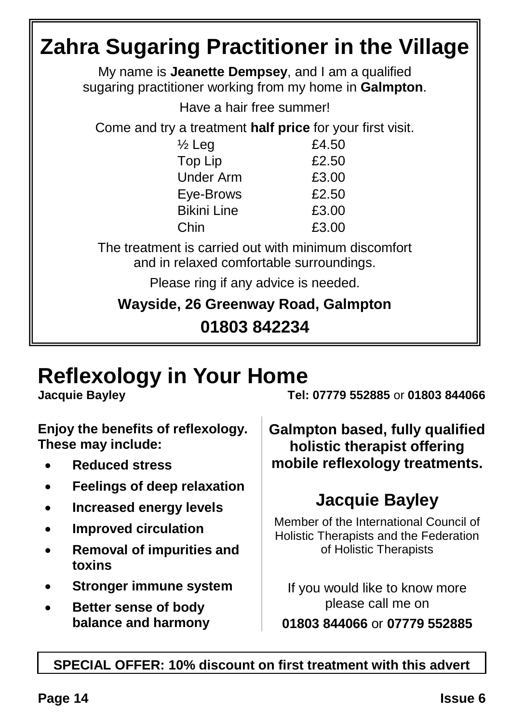## **Zahra Sugaring Practitioner in the Village**

My name is **Jeanette Dempsey**, and I am a qualified sugaring practitioner working from my home in **Galmpton**.

Have a hair free summer!

Come and try a treatment **half price** for your first visit.

| $\frac{1}{2}$ Leg  | £4.50 |
|--------------------|-------|
| Top Lip            | £2.50 |
| <b>Under Arm</b>   | £3.00 |
| Eye-Brows          | £2.50 |
| <b>Bikini Line</b> | £3.00 |
| Chin               | £3.00 |
|                    |       |

The treatment is carried out with minimum discomfort and in relaxed comfortable surroundings.

Please ring if any advice is needed.

**Wayside, 26 Greenway Road, Galmpton**

**01803 842234**

## **Reflexology in Your Home**

**Enjoy the benefits of reflexology. These may include:**

- **Reduced stress**
- **Feelings of deep relaxation**
- **Increased energy levels**
- **Improved circulation**
- **Removal of impurities and toxins**
- **Stronger immune system**
- **Better sense of body balance and harmony**

**Jacquie Bayley Tel: 07779 552885** or **01803 844066**

**Galmpton based, fully qualified holistic therapist offering mobile reflexology treatments.**

### **Jacquie Bayley**

Member of the International Council of Holistic Therapists and the Federation of Holistic Therapists

If you would like to know more please call me on **01803 844066** or **07779 552885**

#### **SPECIAL OFFER: 10% discount on first treatment with this advert**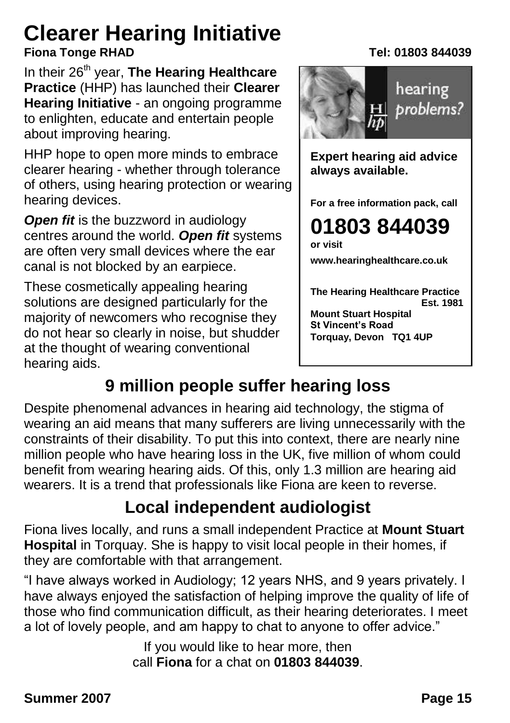## **Clearer Hearing Initiative**

In their 26<sup>th</sup> year. **The Hearing Healthcare Practice** (HHP) has launched their **Clearer Hearing Initiative** - an ongoing programme to enlighten, educate and entertain people about improving hearing.

HHP hope to open more minds to embrace clearer hearing - whether through tolerance of others, using hearing protection or wearing hearing devices.

**Open fit** is the buzzword in audiology centres around the world. *Open fit* systems are often very small devices where the ear canal is not blocked by an earpiece.

These cosmetically appealing hearing solutions are designed particularly for the majority of newcomers who recognise they do not hear so clearly in noise, but shudder at the thought of wearing conventional hearing aids.

#### **Fiona Tonge RHAD Tel: 01803 844039**



**Expert hearing aid advice always available.**

**For a free information pack, call**

**01803 844039 or visit**

**www.hearinghealthcare.co.uk**

**The Hearing Healthcare Practice Est. 1981 Mount Stuart Hospital St Vincent's Road Torquay, Devon TQ1 4UP**

### **9 million people suffer hearing loss**

Despite phenomenal advances in hearing aid technology, the stigma of wearing an aid means that many sufferers are living unnecessarily with the constraints of their disability. To put this into context, there are nearly nine million people who have hearing loss in the UK, five million of whom could benefit from wearing hearing aids. Of this, only 1.3 million are hearing aid wearers. It is a trend that professionals like Fiona are keen to reverse.

#### **Local independent audiologist**

Fiona lives locally, and runs a small independent Practice at **Mount Stuart Hospital** in Torquay. She is happy to visit local people in their homes, if they are comfortable with that arrangement.

"I have always worked in Audiology; 12 years NHS, and 9 years privately. I have always enjoyed the satisfaction of helping improve the quality of life of those who find communication difficult, as their hearing deteriorates. I meet a lot of lovely people, and am happy to chat to anyone to offer advice."

> If you would like to hear more, then call **Fiona** for a chat on **01803 844039**.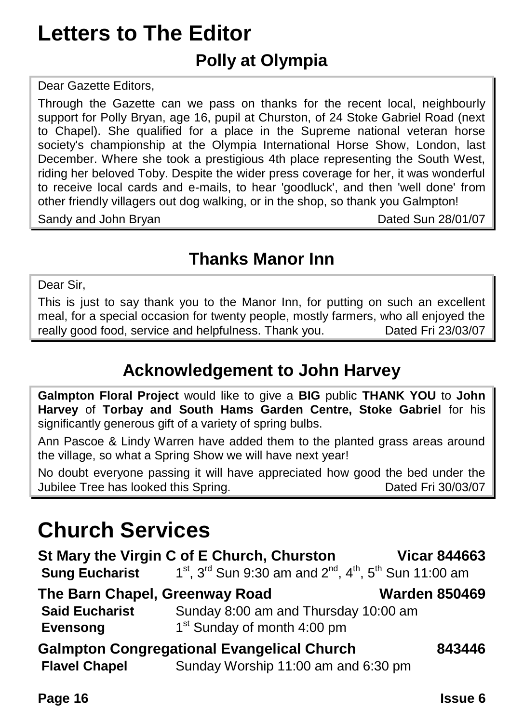### **Letters to The Editor Polly at Olympia**

Dear Gazette Editors,

Through the Gazette can we pass on thanks for the recent local, neighbourly support for Polly Bryan, age 16, pupil at Churston, of 24 Stoke Gabriel Road (next to Chapel). She qualified for a place in the Supreme national veteran horse society's championship at the Olympia International Horse Show, London, last December. Where she took a prestigious 4th place representing the South West, riding her beloved Toby. Despite the wider press coverage for her, it was wonderful to receive local cards and e-mails, to hear 'goodluck', and then 'well done' from other friendly villagers out dog walking, or in the shop, so thank you Galmpton! Sandy and John Bryan Dated Sun 28/01/07

#### **Thanks Manor Inn**

Dear Sir,

This is just to say thank you to the Manor Inn, for putting on such an excellent meal, for a special occasion for twenty people, mostly farmers, who all enjoyed the really good food, service and helpfulness. Thank you. Dated Fri 23/03/07

#### **Acknowledgement to John Harvey**

**Galmpton Floral Project** would like to give a **BIG** public **THANK YOU** to **John Harvey** of **Torbay and South Hams Garden Centre, Stoke Gabriel** for his significantly generous gift of a variety of spring bulbs.

Ann Pascoe & Lindy Warren have added them to the planted grass areas around the village, so what a Spring Show we will have next year!

No doubt everyone passing it will have appreciated how good the bed under the Jubilee Tree has looked this Spring. Dated Fri 30/03/07

### **Church Services**

| St Mary the Virgin C of E Church, Churston                  | <b>Vicar 844663</b>                                                             |  |  |  |  |
|-------------------------------------------------------------|---------------------------------------------------------------------------------|--|--|--|--|
| <b>Sung Eucharist</b>                                       | $1^{st}$ , $3^{rd}$ Sun 9:30 am and $2^{nd}$ , $4^{th}$ , $5^{th}$ Sun 11:00 am |  |  |  |  |
| The Barn Chapel, Greenway Road<br><b>Warden 850469</b>      |                                                                                 |  |  |  |  |
| <b>Said Eucharist</b>                                       | Sunday 8:00 am and Thursday 10:00 am                                            |  |  |  |  |
| <b>Evensong</b>                                             | 1 <sup>st</sup> Sunday of month 4:00 pm                                         |  |  |  |  |
| <b>Galmpton Congregational Evangelical Church</b><br>843446 |                                                                                 |  |  |  |  |
| <b>Flavel Chapel</b>                                        | Sunday Worship 11:00 am and 6:30 pm                                             |  |  |  |  |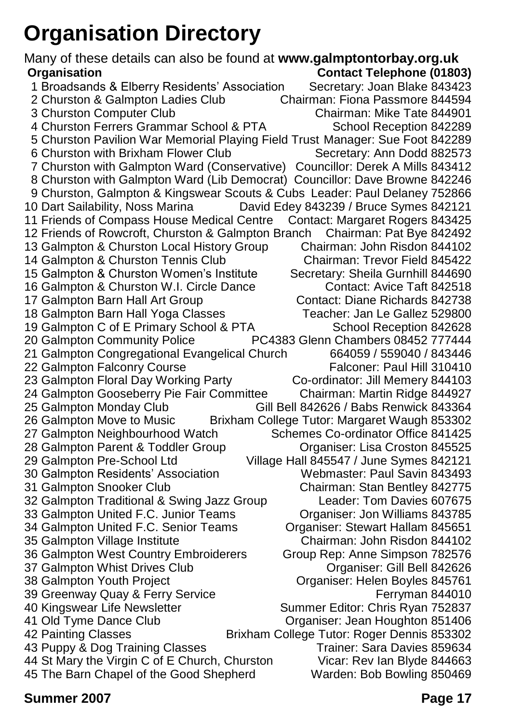## **Organisation Directory**

Many of these details can also be found at **www.galmptontorbay.org.uk Organisation Contact Telephone (01803)** 1 Broadsands & Elberry Residents' Association Secretary: Joan Blake 843423<br>2 Churston & Galmpton Ladies Club (Chairman: Fiona Passmore 844594) 2 Churston & Galmpton Ladies Club Chairman: Fiona Passmore 844594 3 Churston Computer Club 4 Churston Ferrers Grammar School & PTA School Reception 842289 5 Churston Pavilion War Memorial Playing Field Trust Manager: Sue Foot 842289 6 Churston with Brixham Flower Club 7 Churston with Galmpton Ward (Conservative) Councillor: Derek A Mills 843412 8 Churston with Galmpton Ward (Lib Democrat) Councillor: Dave Browne 842246 9 Churston, Galmpton & Kingswear Scouts & Cubs Leader: Paul Delaney 752866<br>10 Dart Sailability, Noss Marina David Edey 843239 / Bruce Symes 842121 David Edey 843239 / Bruce Symes 842121 11 Friends of Compass House Medical Centre Contact: Margaret Rogers 843425<br>12 Friends of Rowcroft, Churston & Galmpton Branch Chairman: Pat Bye 842492 12 Friends of Rowcroft, Churston & Galmpton Branch Chairman: Pat Bye 842492 13 Galmpton & Churston Local History Group Chairman: John Risdon 844102<br>14 Galmpton & Churston Tennis Club Chairman: Trevor Field 845422 14 Galmpton & Churston Tennis Club 15 Galmpton & Churston Women's Institute Secretary: Sheila Gurnhill 844690 16 Galmpton & Churston W.I. Circle Dance Contact: Avice Taft 842518 17 Galmpton Barn Hall Art Group Contact: Diane Richards 842738<br>18 Galmpton Barn Hall Yoga Classes Canada Teacher: Jan Le Gallez 529800 18 Galmpton Barn Hall Yoga Classes 19 Galmpton C of E Primary School & PTA School Reception 842628<br>20 Galmpton Community Police PC4383 Glenn Chambers 08452 777444 PC4383 Glenn Chambers 08452 777444<br>Church 664059 / 559040 / 843446 21 Galmpton Congregational Evangelical Church 22 Galmpton Falconry Course Falconer: Paul Hill 310410<br>23 Galmpton Floral Day Working Party Farty Co-ordinator: Jill Memery 844103 23 Galmpton Floral Day Working Party 24 Galmpton Gooseberry Pie Fair Committee Chairman: Martin Ridge 844927 Gill Bell 842626 / Babs Renwick 843364 26 Galmpton Move to Music Brixham College Tutor: Margaret Waugh 853302 27 Galmpton Neighbourhood Watch Schemes Co-ordinator Office 841425 28 Galmpton Parent & Toddler Group Corganiser: Lisa Croston 845525 29 Galmpton Pre-School Ltd Village Hall 845547 / June Symes 842121 30 Galmpton Residents' Association 31 Galmpton Snooker Club Chairman: Stan Bentley 842775<br>32 Galmpton Traditional & Swing Jazz Group Chairman: Tom Davies 607675 32 Galmpton Traditional & Swing Jazz Group 33 Galmpton United F.C. Junior Teams Organiser: Jon Williams 843785 34 Galmpton United F.C. Senior Teams Organiser: Stewart Hallam 845651 35 Galmpton Village Institute Chairman: John Risdon 844102 36 Galmpton West Country Embroiderers Group Rep: Anne Simpson 782576 37 Galmpton Whist Drives Club **Club Communisty Communisty Communisty** Organiser: Gill Bell 842626<br>38 Galmpton Youth Project Club Croaniser: Helen Boyles 845761 Organiser: Helen Boyles 845761 39 Greenway Quay & Ferry Service<br>39 Greenway Quay & Ferry Service<br>37837 Summer Editor: Chris Ryan 752837 Summer Editor: Chris Ryan 752837 41 Old Tyme Dance Club **Club Club Constanting Club** Organiser: Jean Houghton 851406<br>42 Painting Classes **Club Club Club College Tutor: Roger Dennis 853302** Brixham College Tutor: Roger Dennis 853302 43 Puppy & Dog Training Classes<br>44 St Mary the Virgin C of E Church. Churston Vicar: Rev Ian Blyde 844663 44 St Mary the Virgin C of E Church, Churston 45 The Barn Chapel of the Good Shepherd Warden: Bob Bowling 850469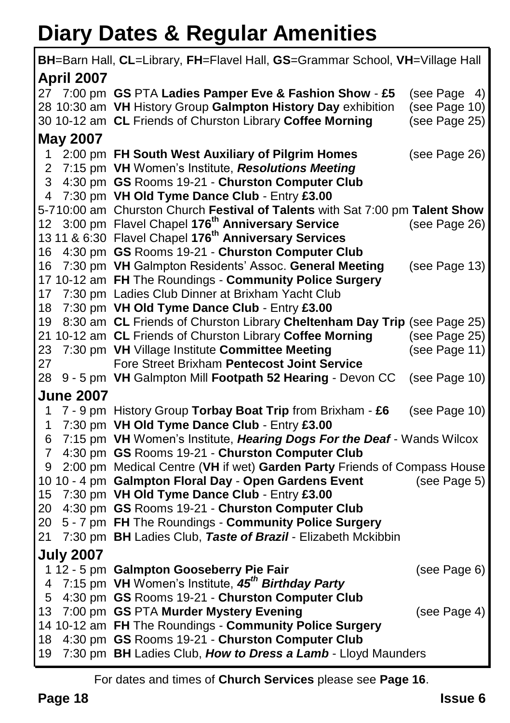## **Diary Dates & Regular Amenities**

|                   | BH=Barn Hall, CL=Library, FH=Flavel Hall, GS=Grammar School, VH=Village Hall |               |
|-------------------|------------------------------------------------------------------------------|---------------|
| <b>April 2007</b> |                                                                              |               |
| 27 -              | 7:00 pm GS PTA Ladies Pamper Eve & Fashion Show - £5                         | (see Page 4)  |
|                   | 28 10:30 am VH History Group Galmpton History Day exhibition                 | (see Page 10) |
|                   | 30 10-12 am CL Friends of Churston Library Coffee Morning                    | (see Page 25) |
| <b>May 2007</b>   |                                                                              |               |
| 1                 | 2:00 pm FH South West Auxiliary of Pilgrim Homes                             | (see Page 26) |
| 2                 | 7:15 pm VH Women's Institute, Resolutions Meeting                            |               |
| 3                 | 4:30 pm GS Rooms 19-21 - Churston Computer Club                              |               |
| 4                 | 7:30 pm VH Old Tyme Dance Club - Entry £3.00                                 |               |
|                   | 5-710:00 am Churston Church Festival of Talents with Sat 7:00 pm Talent Show |               |
| 12                | 3:00 pm Flavel Chapel 176 <sup>th</sup> Anniversary Service                  | (see Page 26) |
|                   | 13 11 & 6:30 Flavel Chapel 176 <sup>th</sup> Anniversary Services            |               |
| 16                | 4:30 pm GS Rooms 19-21 - Churston Computer Club                              |               |
| 16                | 7:30 pm VH Galmpton Residents' Assoc. General Meeting                        | (see Page 13) |
|                   | 17 10-12 am FH The Roundings - Community Police Surgery                      |               |
| 17                | 7:30 pm Ladies Club Dinner at Brixham Yacht Club                             |               |
| 18                | 7:30 pm VH Old Tyme Dance Club - Entry £3.00                                 |               |
| 19                | 8:30 am CL Friends of Churston Library Cheltenham Day Trip (see Page 25)     |               |
|                   | 21 10-12 am CL Friends of Churston Library Coffee Morning                    | (see Page 25) |
| 23                | 7:30 pm VH Village Institute Committee Meeting                               | (see Page 11) |
| 27                | Fore Street Brixham Pentecost Joint Service                                  |               |
| 28                | 9 - 5 pm VH Galmpton Mill Footpath 52 Hearing - Devon CC                     | (see Page 10) |
| <b>June 2007</b>  |                                                                              |               |
| 1                 | 7 - 9 pm History Group Torbay Boat Trip from Brixham - £6                    | (see Page 10) |
| 1                 | 7:30 pm VH Old Tyme Dance Club - Entry £3.00                                 |               |
| 6                 | 7:15 pm VH Women's Institute, Hearing Dogs For the Deaf - Wands Wilcox       |               |
| 7                 | 4:30 pm GS Rooms 19-21 - Churston Computer Club                              |               |
| 9                 | 2:00 pm Medical Centre (VH if wet) Garden Party Friends of Compass House     |               |
|                   | 10 10 - 4 pm Galmpton Floral Day - Open Gardens Event                        | (see Page 5)  |
| 15                | 7:30 pm VH Old Tyme Dance Club - Entry £3.00                                 |               |
| 20                | 4:30 pm GS Rooms 19-21 - Churston Computer Club                              |               |
| 20                | 5 - 7 pm FH The Roundings - Community Police Surgery                         |               |
| 21                | 7:30 pm BH Ladies Club, Taste of Brazil - Elizabeth Mckibbin                 |               |
| <b>July 2007</b>  |                                                                              |               |
|                   | 1 12 - 5 pm Galmpton Gooseberry Pie Fair                                     | (see Page 6)  |
| 4                 | 7:15 pm VH Women's Institute, 45 <sup>th</sup> Birthday Party                |               |
| 5                 | 4:30 pm GS Rooms 19-21 - Churston Computer Club                              |               |
| 13 <sup>°</sup>   | 7:00 pm GS PTA Murder Mystery Evening                                        | (see Page 4)  |
|                   | 14 10-12 am FH The Roundings - Community Police Surgery                      |               |
| 18                | 4:30 pm GS Rooms 19-21 - Churston Computer Club                              |               |
| 19                | 7:30 pm BH Ladies Club, How to Dress a Lamb - Lloyd Maunders                 |               |

For dates and times of **Church Services** please see **Page 16**.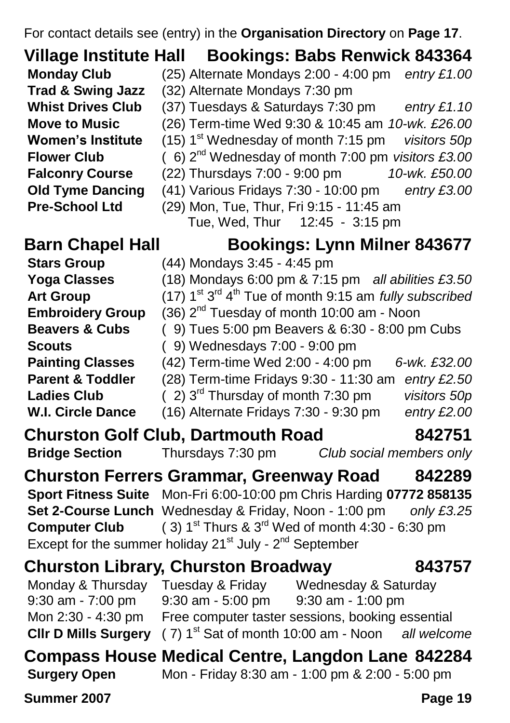For contact details see (entry) in the **Organisation Directory** on **Page 17**.

**Village Institute Hall Bookings: Babs Renwick 843364 Monday Club** (25) Alternate Mondays 2:00 - 4:00 pm *entry £1.00* **Trad & Swing Jazz** (32) Alternate Mondays 7:30 pm **Whist Drives Club** (37) Tuesdays & Saturdays 7:30 pm *entry £1.10* **Move to Music** (26) Term-time Wed 9:30 & 10:45 am *10-wk. £26.00* **Women's Institute** (15) 1<sup>st</sup> Wednesday of month 7:15 pm *visitors 50p* **Flower Club** ( 6) 2nd Wednesday of month 7:00 pm *visitors £3.00* **Falconry Course** (22) Thursdays 7:00 - 9:00 pm *10-wk. £50.00* **Old Tyme Dancing** (41) Various Fridays 7:30 - 10:00 pm *entry £3.00* **Pre-School Ltd** (29) Mon, Tue, Thur, Fri 9:15 - 11:45 am

**Art Group** 

#### **Barn Chapel Hall Bookings: Lynn Milner 843677**

- **Stars Group** (44) Mondays 3:45 4:45 pm
- **Yoga Classes** (18) Mondays 6:00 pm & 7:15 pm *all abilities £3.50*
	- <sup>rd</sup> 4<sup>th</sup> Tue of month 9:15 am *fully subscribed*
- **Embroidery Group** (36) 2<sup>nd</sup> Tuesday of month 10:00 am Noon

Tue, Wed, Thur 12:45 - 3:15 pm

- **Beavers & Cubs** ( 9) Tues 5:00 pm Beavers & 6:30 8:00 pm Cubs
- **Scouts** ( 9) Wednesdays 7:00 9:00 pm

**Painting Classes** (42) Term-time Wed 2:00 - 4:00 pm *6-wk. £32.00*

- **Parent & Toddler** (28) Term-time Fridays 9:30 11:30 am *entry £2.50*
- **Ladies Club** ( 2) 3rd Thursday of month 7:30 pm *visitors 50p*
- **W.I. Circle Dance** (16) Alternate Fridays 7:30 9:30 pm *entry £2.00*
- **Churston Golf Club, Dartmouth Road 842751**

```
Bridge Section Thursdays 7:30 pm Club social members only
```
**Churston Ferrers Grammar, Greenway Road 842289 Sport Fitness Suite** Mon-Fri 6:00-10:00 pm Chris Harding **07772 858135 Set 2-Course Lunch** Wednesday & Friday, Noon - 1:00 pm *only £3.25* **Computer Club** ( 3)  $1^{st}$  Thurs  $\&$  3<sup>rd</sup> Wed of month  $4:30 - 6:30$  pm Except for the summer holiday 21<sup>st</sup> July - 2<sup>nd</sup> September

#### **Churston Library, Churston Broadway 843757**

Monday & Thursday Tuesday & Friday Wednesday & Saturday 9:30 am - 7:00 pm 9:30 am - 5:00 pm 9:30 am - 1:00 pm Mon 2:30 - 4:30 pm Free computer taster sessions, booking essential **Clir D Mills Surgery** ( 7) 1<sup>st</sup> Sat of month 10:00 am - Noon *all welcome* 

#### **Compass House Medical Centre, Langdon Lane 842284 Surgery Open** Mon - Friday 8:30 am - 1:00 pm & 2:00 - 5:00 pm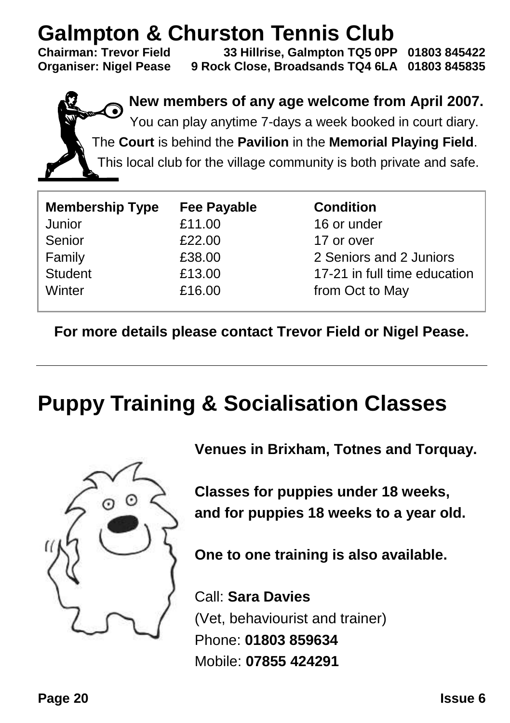## **Galmpton & Churston Tennis Club**<br>Chairman: Trevor Field 33 Hillrise, Galmpton TQ5 0PP

**Chairman: Trevor Field 33 Hillrise, Galmpton TQ5 0PP 01803 845422 Organiser: Nigel Pease 9 Rock Close, Broadsands TQ4 6LA 01803 845835**

> **New members of any age welcome from April 2007.** You can play anytime 7-days a week booked in court diary. The **Court** is behind the **Pavilion** in the **Memorial Playing Field**. This local club for the village community is both private and safe.

| <b>Membership Type</b> | <b>Fee Payable</b> | <b>Condition</b>             |
|------------------------|--------------------|------------------------------|
| Junior                 | £11.00             | 16 or under                  |
| Senior                 | £22.00             | 17 or over                   |
| Family                 | £38.00             | 2 Seniors and 2 Juniors      |
| <b>Student</b>         | £13.00             | 17-21 in full time education |
| Winter                 | £16.00             | from Oct to May              |

**For more details please contact Trevor Field or Nigel Pease.**

## **Puppy Training & Socialisation Classes**



**Venues in Brixham, Totnes and Torquay.**

**Classes for puppies under 18 weeks, and for puppies 18 weeks to a year old.**

**One to one training is also available.**

Call: **Sara Davies** (Vet, behaviourist and trainer) Phone: **01803 859634** Mobile: **07855 424291**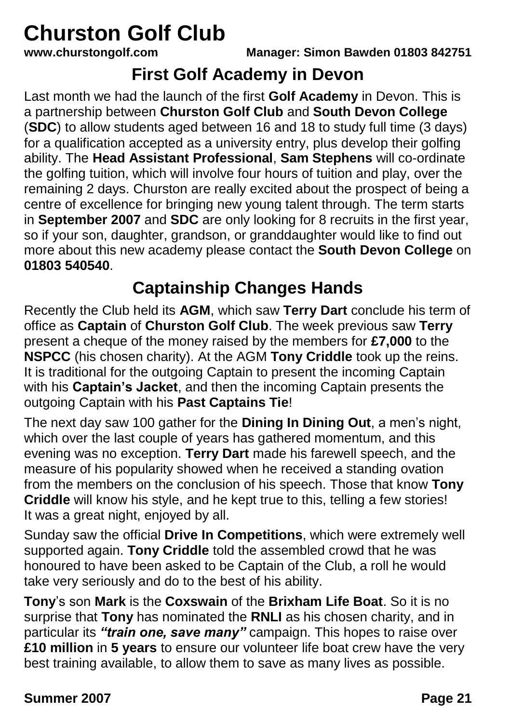## **Churston Golf Club**<br>www.churstongolf.com

**www.churstongolf.com Manager: Simon Bawden 01803 842751**

#### **First Golf Academy in Devon**

Last month we had the launch of the first **Golf Academy** in Devon. This is a partnership between **Churston Golf Club** and **South Devon College** (**SDC**) to allow students aged between 16 and 18 to study full time (3 days) for a qualification accepted as a university entry, plus develop their golfing ability. The **Head Assistant Professional**, **Sam Stephens** will co-ordinate the golfing tuition, which will involve four hours of tuition and play, over the remaining 2 days. Churston are really excited about the prospect of being a centre of excellence for bringing new young talent through. The term starts in **September 2007** and **SDC** are only looking for 8 recruits in the first year, so if your son, daughter, grandson, or granddaughter would like to find out more about this new academy please contact the **South Devon College** on **01803 540540**.

#### **Captainship Changes Hands**

Recently the Club held its **AGM**, which saw **Terry Dart** conclude his term of office as **Captain** of **Churston Golf Club**. The week previous saw **Terry** present a cheque of the money raised by the members for **£7,000** to the **NSPCC** (his chosen charity). At the AGM **Tony Criddle** took up the reins. It is traditional for the outgoing Captain to present the incoming Captain with his **Captain's Jacket**, and then the incoming Captain presents the outgoing Captain with his **Past Captains Tie**!

The next day saw 100 gather for the **Dining In Dining Out**, a men's night, which over the last couple of years has gathered momentum, and this evening was no exception. **Terry Dart** made his farewell speech, and the measure of his popularity showed when he received a standing ovation from the members on the conclusion of his speech. Those that know **Tony Criddle** will know his style, and he kept true to this, telling a few stories! It was a great night, enjoyed by all.

Sunday saw the official **Drive In Competitions**, which were extremely well supported again. **Tony Criddle** told the assembled crowd that he was honoured to have been asked to be Captain of the Club, a roll he would take very seriously and do to the best of his ability.

**Tony**'s son **Mark** is the **Coxswain** of the **Brixham Life Boat**. So it is no surprise that **Tony** has nominated the **RNLI** as his chosen charity, and in particular its *"train one, save many"* campaign. This hopes to raise over **£10 million** in **5 years** to ensure our volunteer life boat crew have the very best training available, to allow them to save as many lives as possible.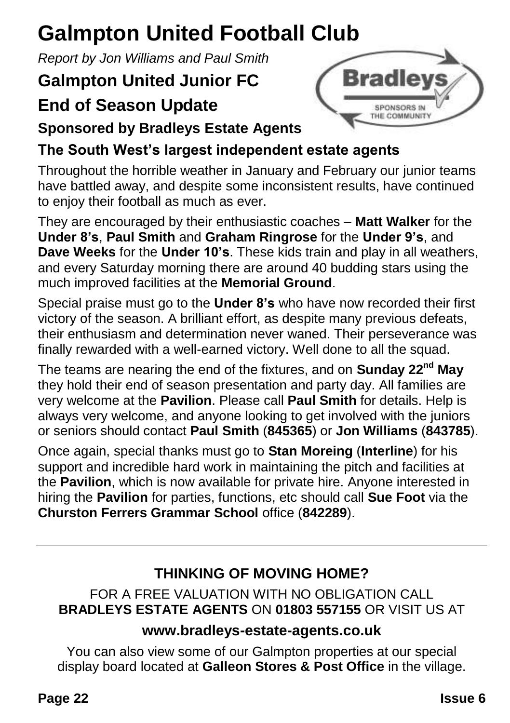## **Galmpton United Football Club**

*Report by Jon Williams and Paul Smith*

### **Galmpton United Junior FC**

### **End of Season Update**



**Sponsored by Bradleys Estate Agents**

#### **The South West's largest independent estate agents**

Throughout the horrible weather in January and February our junior teams have battled away, and despite some inconsistent results, have continued to enjoy their football as much as ever.

They are encouraged by their enthusiastic coaches – **Matt Walker** for the **Under 8's**, **Paul Smith** and **Graham Ringrose** for the **Under 9's**, and **Dave Weeks** for the **Under 10's**. These kids train and play in all weathers, and every Saturday morning there are around 40 budding stars using the much improved facilities at the **Memorial Ground**.

Special praise must go to the **Under 8's** who have now recorded their first victory of the season. A brilliant effort, as despite many previous defeats, their enthusiasm and determination never waned. Their perseverance was finally rewarded with a well-earned victory. Well done to all the squad.

The teams are nearing the end of the fixtures, and on **Sunday 22nd May** they hold their end of season presentation and party day. All families are very welcome at the **Pavilion**. Please call **Paul Smith** for details. Help is always very welcome, and anyone looking to get involved with the juniors or seniors should contact **Paul Smith** (**845365**) or **Jon Williams** (**843785**).

Once again, special thanks must go to **Stan Moreing** (**Interline**) for his support and incredible hard work in maintaining the pitch and facilities at the **Pavilion**, which is now available for private hire. Anyone interested in hiring the **Pavilion** for parties, functions, etc should call **Sue Foot** via the **Churston Ferrers Grammar School** office (**842289**).

#### **THINKING OF MOVING HOME?**

#### FOR A FREE VALUATION WITH NO OBLIGATION CALL **BRADLEYS ESTATE AGENTS** ON **01803 557155** OR VISIT US AT

#### **www.bradleys-estate-agents.co.uk**

You can also view some of our Galmpton properties at our special display board located at **Galleon Stores & Post Office** in the village.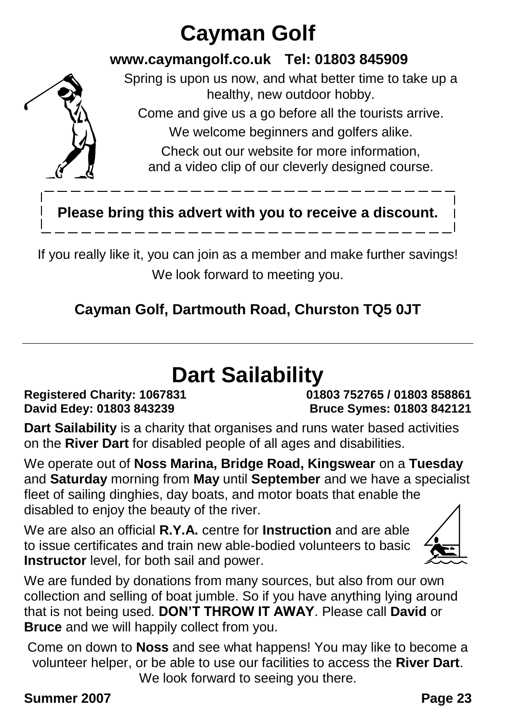## **Cayman Golf**

#### **www.caymangolf.co.uk Tel: 01803 845909**



Spring is upon us now, and what better time to take up a healthy, new outdoor hobby.

Come and give us a go before all the tourists arrive.

We welcome beginners and golfers alike.

Check out our website for more information, and a video clip of our cleverly designed course.

#### **Please bring this advert with you to receive a discount.**

If you really like it, you can join as a member and make further savings! We look forward to meeting you.

#### **Cayman Golf, Dartmouth Road, Churston TQ5 0JT**

### **Dart Sailability**

**Registered Charity: 1067831 01803 752765 / 01803 858861 David Edey: 01803 843239 Bruce Symes: 01803 842121**

**Dart Sailability** is a charity that organises and runs water based activities on the **River Dart** for disabled people of all ages and disabilities.

We operate out of **Noss Marina, Bridge Road, Kingswear** on a **Tuesday** and **Saturday** morning from **May** until **September** and we have a specialist fleet of sailing dinghies, day boats, and motor boats that enable the disabled to enjoy the beauty of the river.

We are also an official **R.Y.A.** centre for **Instruction** and are able to issue certificates and train new able-bodied volunteers to basic **Instructor** level, for both sail and power.



We are funded by donations from many sources, but also from our own collection and selling of boat jumble. So if you have anything lying around that is not being used. **DON'T THROW IT AWAY**. Please call **David** or **Bruce** and we will happily collect from you.

Come on down to **Noss** and see what happens! You may like to become a volunteer helper, or be able to use our facilities to access the **River Dart**. We look forward to seeing you there.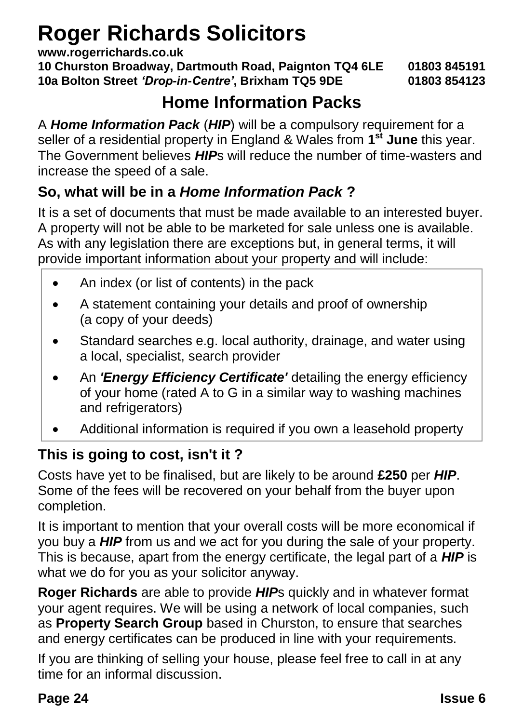## **Roger Richards Solicitors**

**www.rogerrichards.co.uk**

**10 Churston Broadway, Dartmouth Road, Paignton TQ4 6LE 01803 845191 10a Bolton Street** *'Drop-in-Centre'***, Brixham TQ5 9DE 01803 854123**

#### **Home Information Packs**

A *Home Information Pack* (*HIP*) will be a compulsory requirement for a seller of a residential property in England & Wales from **1 st June** this year. The Government believes *HIP*s will reduce the number of time-wasters and increase the speed of a sale.

#### **So, what will be in a** *Home Information Pack* **?**

It is a set of documents that must be made available to an interested buyer. A property will not be able to be marketed for sale unless one is available. As with any legislation there are exceptions but, in general terms, it will provide important information about your property and will include:

- An index (or list of contents) in the pack
- A statement containing your details and proof of ownership (a copy of your deeds)
- Standard searches e.g. local authority, drainage, and water using a local, specialist, search provider
- An *'Energy Efficiency Certificate'* detailing the energy efficiency of your home (rated A to G in a similar way to washing machines and refrigerators)
- Additional information is required if you own a leasehold property

#### **This is going to cost, isn't it ?**

Costs have yet to be finalised, but are likely to be around **£250** per *HIP*. Some of the fees will be recovered on your behalf from the buyer upon completion.

It is important to mention that your overall costs will be more economical if you buy a *HIP* from us and we act for you during the sale of your property. This is because, apart from the energy certificate, the legal part of a *HIP* is what we do for you as your solicitor anyway.

**Roger Richards** are able to provide *HIP*s quickly and in whatever format your agent requires. We will be using a network of local companies, such as **Property Search Group** based in Churston, to ensure that searches and energy certificates can be produced in line with your requirements.

If you are thinking of selling your house, please feel free to call in at any time for an informal discussion.

#### **Page 24 Issue 6**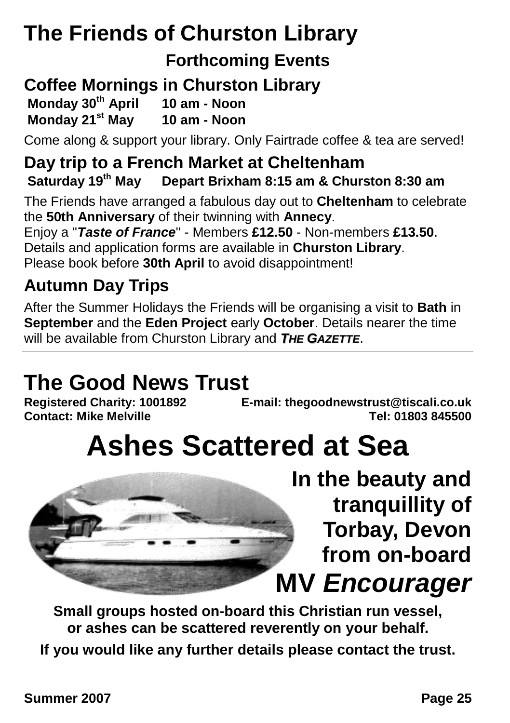## **The Friends of Churston Library**

#### **Forthcoming Events**

#### **Coffee Mornings in Churston Library**

**Monday 30th April 10 am - Noon**

**Monday 21st May 10 am - Noon**

Come along & support your library. Only Fairtrade coffee & tea are served!

#### **Day trip to a French Market at Cheltenham Saturday 19th May Depart Brixham 8:15 am & Churston 8:30 am**

The Friends have arranged a fabulous day out to **Cheltenham** to celebrate the **50th Anniversary** of their twinning with **Annecy**. Enjoy a "*Taste of France*" - Members **£12.50** - Non-members **£13.50**.

Details and application forms are available in **Churston Library**.

Please book before **30th April** to avoid disappointment!

#### **Autumn Day Trips**

After the Summer Holidays the Friends will be organising a visit to **Bath** in **September** and the **Eden Project** early **October**. Details nearer the time will be available from Churston Library and *THE GAZETTE*.

# **The Good News Trust**

**Registered Charity: 1001892 E-mail: thegoodnewstrust@tiscali.co.uk Contact: Mike Melville Tel: 01803 845500**

## **Ashes Scattered at Sea**



**Small groups hosted on-board this Christian run vessel, or ashes can be scattered reverently on your behalf.**

**If you would like any further details please contact the trust.**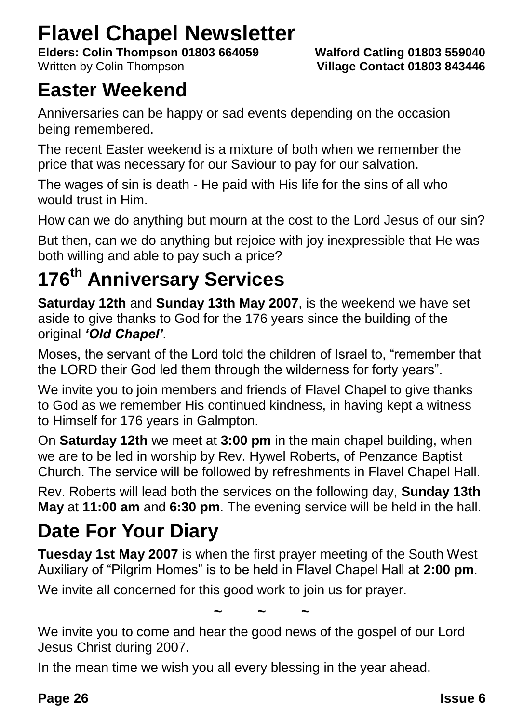### **Flavel Chapel Newsletter**

**Elders: Colin Thompson 01803 664059 Walford Catling 01803 559040** Written by Colin Thompson **Village Contact 01803 843446**

### **Easter Weekend**

Anniversaries can be happy or sad events depending on the occasion being remembered.

The recent Easter weekend is a mixture of both when we remember the price that was necessary for our Saviour to pay for our salvation.

The wages of sin is death - He paid with His life for the sins of all who would trust in Him.

How can we do anything but mourn at the cost to the Lord Jesus of our sin?

But then, can we do anything but rejoice with joy inexpressible that He was both willing and able to pay such a price?

### **176th Anniversary Services**

**Saturday 12th** and **Sunday 13th May 2007**, is the weekend we have set aside to give thanks to God for the 176 years since the building of the original *'Old Chapel'*.

Moses, the servant of the Lord told the children of Israel to, "remember that the LORD their God led them through the wilderness for forty years".

We invite you to join members and friends of Flavel Chapel to give thanks to God as we remember His continued kindness, in having kept a witness to Himself for 176 years in Galmpton.

On **Saturday 12th** we meet at **3:00 pm** in the main chapel building, when we are to be led in worship by Rev. Hywel Roberts, of Penzance Baptist Church. The service will be followed by refreshments in Flavel Chapel Hall.

Rev. Roberts will lead both the services on the following day, **Sunday 13th May** at **11:00 am** and **6:30 pm**. The evening service will be held in the hall.

### **Date For Your Diary**

**Tuesday 1st May 2007** is when the first prayer meeting of the South West Auxiliary of "Pilgrim Homes" is to be held in Flavel Chapel Hall at **2:00 pm**.

We invite all concerned for this good work to join us for prayer.

**~ ~ ~**

We invite you to come and hear the good news of the gospel of our Lord Jesus Christ during 2007.

In the mean time we wish you all every blessing in the year ahead.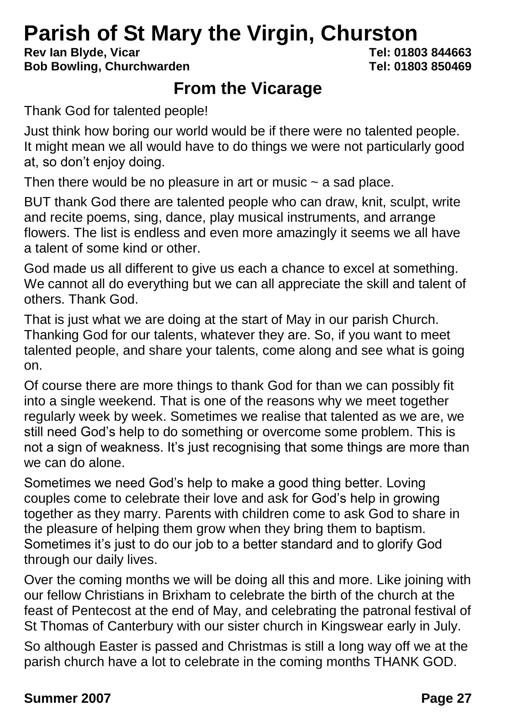## **Parish of St Mary the Virgin, Churston**<br>Rev.lan Blyde, Vicar

**Rev Ian Blyde, Vicar Bob Bowling, Churchwarden Tel: 01803 850469**

#### **From the Vicarage**

Thank God for talented people!

Just think how boring our world would be if there were no talented people. It might mean we all would have to do things we were not particularly good at, so don't enjoy doing.

Then there would be no pleasure in art or music  $\sim$  a sad place.

BUT thank God there are talented people who can draw, knit, sculpt, write and recite poems, sing, dance, play musical instruments, and arrange flowers. The list is endless and even more amazingly it seems we all have a talent of some kind or other.

God made us all different to give us each a chance to excel at something. We cannot all do everything but we can all appreciate the skill and talent of others. Thank God.

That is just what we are doing at the start of May in our parish Church. Thanking God for our talents, whatever they are. So, if you want to meet talented people, and share your talents, come along and see what is going on.

Of course there are more things to thank God for than we can possibly fit into a single weekend. That is one of the reasons why we meet together regularly week by week. Sometimes we realise that talented as we are, we still need God's help to do something or overcome some problem. This is not a sign of weakness. It's just recognising that some things are more than we can do alone.

Sometimes we need God's help to make a good thing better. Loving couples come to celebrate their love and ask for God's help in growing together as they marry. Parents with children come to ask God to share in the pleasure of helping them grow when they bring them to baptism. Sometimes it's just to do our job to a better standard and to glorify God through our daily lives.

Over the coming months we will be doing all this and more. Like joining with our fellow Christians in Brixham to celebrate the birth of the church at the feast of Pentecost at the end of May, and celebrating the patronal festival of St Thomas of Canterbury with our sister church in Kingswear early in July.

So although Easter is passed and Christmas is still a long way off we at the parish church have a lot to celebrate in the coming months THANK GOD.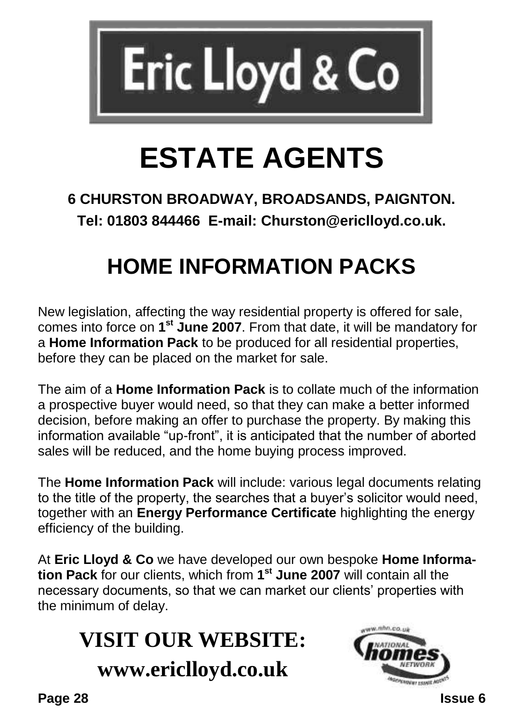

## **ESTATE AGENTS**

#### **6 CHURSTON BROADWAY, BROADSANDS, PAIGNTON. Tel: 01803 844466 E-mail: Churston@ericlloyd.co.uk.**

## **HOME INFORMATION PACKS**

New legislation, affecting the way residential property is offered for sale, comes into force on **1 st June 2007**. From that date, it will be mandatory for a **Home Information Pack** to be produced for all residential properties, before they can be placed on the market for sale.

The aim of a **Home Information Pack** is to collate much of the information a prospective buyer would need, so that they can make a better informed decision, before making an offer to purchase the property. By making this information available "up-front", it is anticipated that the number of aborted sales will be reduced, and the home buying process improved.

The **Home Information Pack** will include: various legal documents relating to the title of the property, the searches that a buyer's solicitor would need, together with an **Energy Performance Certificate** highlighting the energy efficiency of the building.

At **Eric Lloyd & Co** we have developed our own bespoke **Home Information Pack** for our clients, which from **1 st June 2007** will contain all the necessary documents, so that we can market our clients' properties with the minimum of delay.

## **VISIT OUR WEBSITE: www.ericlloyd.co.uk**



**Page 28 Issue 6**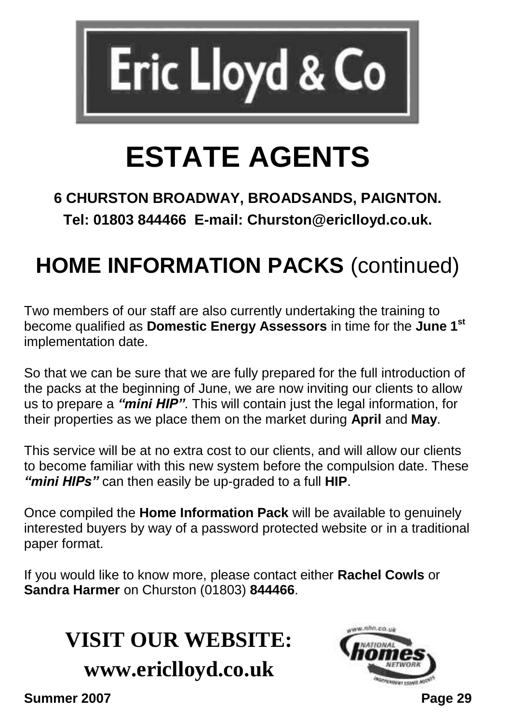

## **ESTATE AGENTS**

#### **6 CHURSTON BROADWAY, BROADSANDS, PAIGNTON. Tel: 01803 844466 E-mail: Churston@ericlloyd.co.uk.**

## **HOME INFORMATION PACKS** (continued)

Two members of our staff are also currently undertaking the training to become qualified as **Domestic Energy Assessors** in time for the **June 1st** implementation date.

So that we can be sure that we are fully prepared for the full introduction of the packs at the beginning of June, we are now inviting our clients to allow us to prepare a *"mini HIP"*. This will contain just the legal information, for their properties as we place them on the market during **April** and **May**.

This service will be at no extra cost to our clients, and will allow our clients to become familiar with this new system before the compulsion date. These *"mini HIPs"* can then easily be up-graded to a full **HIP**.

Once compiled the **Home Information Pack** will be available to genuinely interested buyers by way of a password protected website or in a traditional paper format.

If you would like to know more, please contact either **Rachel Cowls** or **Sandra Harmer** on Churston (01803) **844466**.

## **VISIT OUR WEBSITE: www.ericlloyd.co.uk**

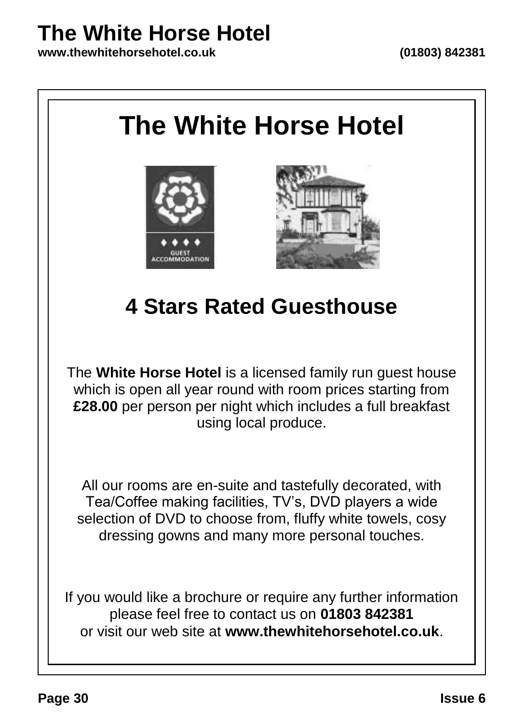## **The White Horse Hotel**

**www.thewhitehorsehotel.co.uk (01803) 842381**

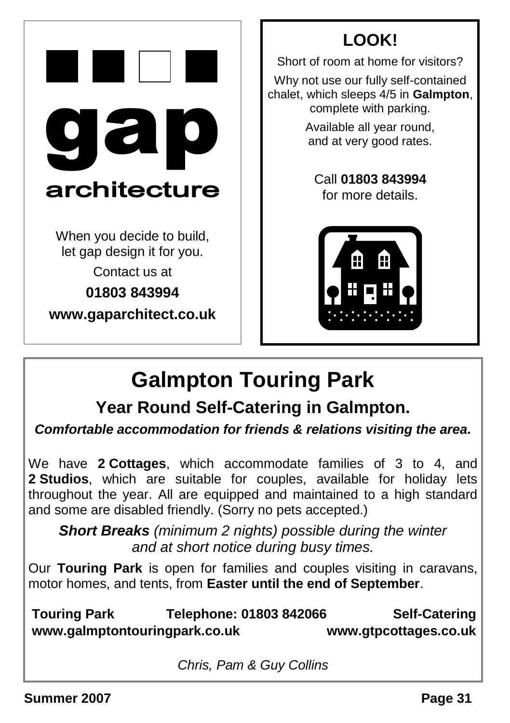|                                                         | LOOK!                                                                                                  |
|---------------------------------------------------------|--------------------------------------------------------------------------------------------------------|
|                                                         | Short of room at home for visitors?                                                                    |
|                                                         | Why not use our fully self-contained<br>chalet, which sleeps 4/5 in Galmptor<br>complete with parking. |
| $\overline{\mathbf{d}}$<br>$\mathbf{O}$                 | Available all year round,<br>and at very good rates.                                                   |
| architecture                                            | Call 01803 843994<br>for more details.                                                                 |
| When you decide to build,<br>let gap design it for you. |                                                                                                        |
| Contact us at                                           |                                                                                                        |
| 01803843994                                             |                                                                                                        |
| www.gaparchitect.co.uk                                  |                                                                                                        |
|                                                         |                                                                                                        |

 $f$ -contained **Galmpton,** king.



## **Galmpton Touring Park**

### **Year Round Self-Catering in Galmpton.**

*Comfortable accommodation for friends & relations visiting the area.*

We have **2 Cottages**, which accommodate families of 3 to 4, and **2 Studios**, which are suitable for couples, available for holiday lets throughout the year. All are equipped and maintained to a high standard and some are disabled friendly. (Sorry no pets accepted.)

*Short Breaks (minimum 2 nights) possible during the winter and at short notice during busy times.*

Our **Touring Park** is open for families and couples visiting in caravans, motor homes, and tents, from **Easter until the end of September**.

**Touring Park Telephone: 01803 842066 Self-Catering www.galmptontouringpark.co.uk www.gtpcottages.co.uk**

*Chris, Pam & Guy Collins*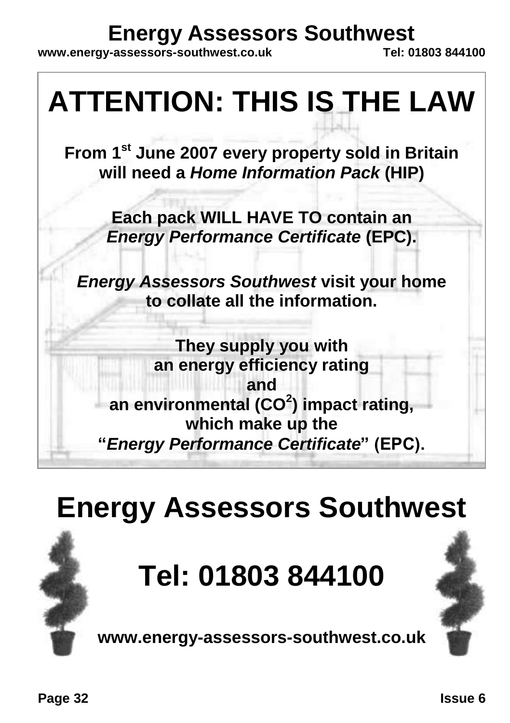## **Energy Assessors Southwest**<br> **Engressors-southwest co.uk**<br>
Tel: 01803 844100

www.energy-assessors-southwest.co.uk



## **Energy Assessors Southwest**

## **Tel: 01803 844100**

**www.energy-assessors-southwest.co.uk**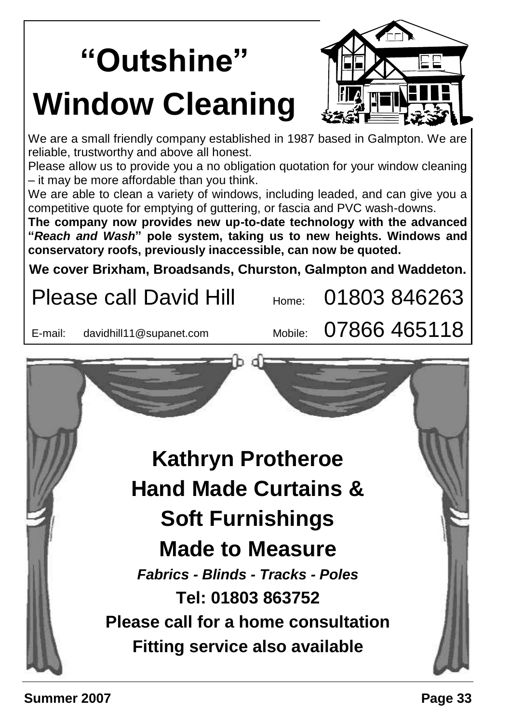# **"Outshine" Window Cleaning**



We are a small friendly company established in 1987 based in Galmpton. We are reliable, trustworthy and above all honest.

Please allow us to provide you a no obligation quotation for your window cleaning – it may be more affordable than you think.

We are able to clean a variety of windows, including leaded, and can give you a competitive quote for emptying of guttering, or fascia and PVC wash-downs.

**The company now provides new up-to-date technology with the advanced "***Reach and Wash***" pole system, taking us to new heights. Windows and conservatory roofs, previously inaccessible, can now be quoted.**

**We cover Brixham, Broadsands, Churston, Galmpton and Waddeton.**

Please call David Hill  $_{\text{Home}}$  01803 846263 E-mail: davidhill11@supanet.com Mobile:  $07866$  465118 **Kathryn Protheroe Hand Made Curtains & Soft Furnishings Made to Measure** *Fabrics - Blinds - Tracks - Poles* **Tel: 01803 863752 Please call for a home consultation Fitting service also available**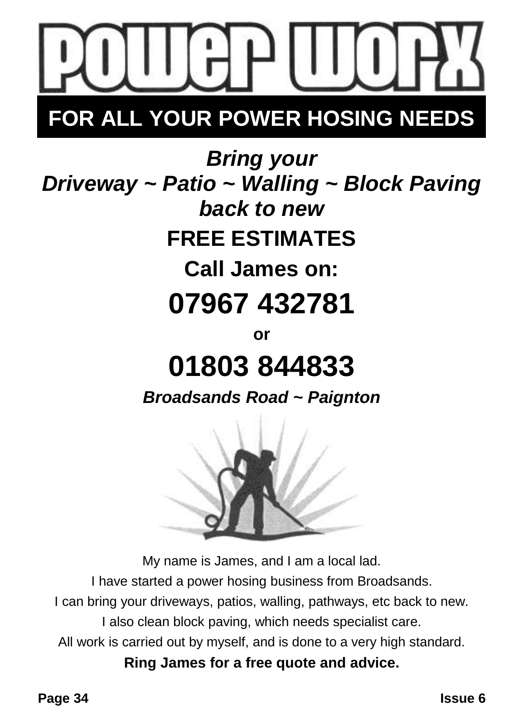

## **FOR ALL YOUR POWER HOSING NEEDS**

*Bring your Driveway ~ Patio ~ Walling ~ Block Paving back to new* **FREE ESTIMATES Call James on: 07967 432781**

## **or 01803 844833**

*Broadsands Road ~ Paignton*



My name is James, and I am a local lad.

I have started a power hosing business from Broadsands.

I can bring your driveways, patios, walling, pathways, etc back to new.

I also clean block paving, which needs specialist care.

All work is carried out by myself, and is done to a very high standard.

**Ring James for a free quote and advice.**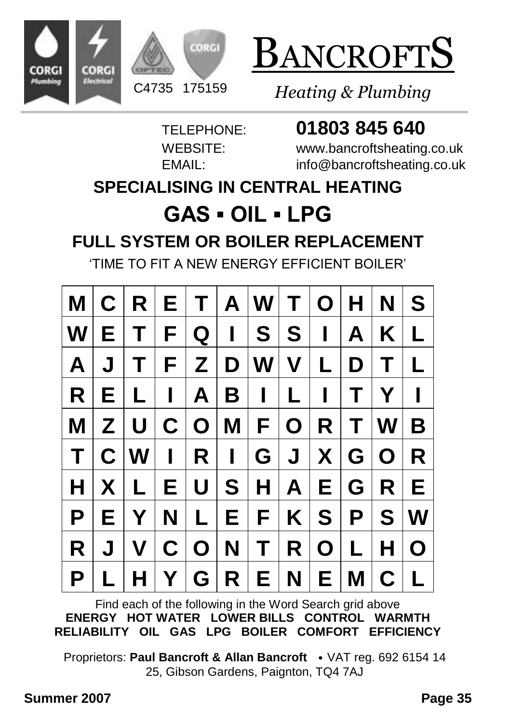





*Heating & Plumbing*

### TELEPHONE: **01803 845 640**

WEBSITE: www.bancroftsheating.co.uk EMAIL: info@bancroftsheating.co.uk

#### **SPECIALISING IN CENTRAL HEATING**

### **GAS ▪ OIL ▪ LPG FULL SYSTEM OR BOILER REPLACEMENT**

'TIME TO FIT A NEW ENERGY EFFICIENT BOILER'

|              |             | $\vert M \vert C \vert R \vert E \vert T \vert A \vert W \vert T \vert O \vert H \vert N \vert$ |                |                |                                                             |                |                |                   |       |                             | S            |
|--------------|-------------|-------------------------------------------------------------------------------------------------|----------------|----------------|-------------------------------------------------------------|----------------|----------------|-------------------|-------|-----------------------------|--------------|
| <b>W</b>     | Е           | Τ                                                                                               | F <sub>1</sub> | $Q \mid$       | $\begin{array}{c} \begin{array}{c} \end{array} \end{array}$ |                | S S            | $\mathbf{I}$      | A     | K                           | L            |
| $\mathbf{A}$ | J           | Τ                                                                                               | F.             | $ \mathsf{Z} $ |                                                             | D W V L        |                |                   | D     | Τ                           | L            |
| <b>R</b>     | E.          | L                                                                                               | $\mathbf{L}$   | $\mathsf{A}$   | $B \mid I$                                                  |                | $\mathsf{L}$   | $\mathbf{I}$      | T     | Y                           | $\mathbf{I}$ |
| M            | Z.          | $\mathsf{U}$                                                                                    |                | C O M          |                                                             |                | F O            | R.                | T.    | $ \mathbf{W} $              | B            |
| $\mathsf{T}$ | $\mathbf C$ | $\mathsf{I}\mathsf{W}$                                                                          | $\mathbf{L}$   | R <sub>1</sub> | $\mathbf{I}$                                                | G              | J <sub>1</sub> |                   | X G O |                             | R            |
| H            | X.          | L                                                                                               |                | E U S          |                                                             |                |                | H   A   E   G   R |       |                             | E.           |
| P            | Е           | Y                                                                                               | N              | L.             | EI                                                          | $F \mid$       |                |                   |       | $K\mid S\mid P\mid S\mid W$ |              |
| R            | J           | V                                                                                               |                | C O            | $\mathbf N$                                                 | T <sub>1</sub> |                | R O L             |       | H.                          | $\mathbf 0$  |
| P            | L           | H                                                                                               | Y              |                |                                                             | G R E N E      |                |                   | M C   |                             |              |

Find each of the following in the Word Search grid above **ENERGY HOT WATER LOWER BILLS CONTROL WARMTH RELIABILITY OIL GAS LPG BOILER COMFORT EFFICIENCY**

Proprietors: **Paul Bancroft & Allan Bancroft** • VAT reg. 692 6154 14 25, Gibson Gardens, Paignton, TQ4 7AJ